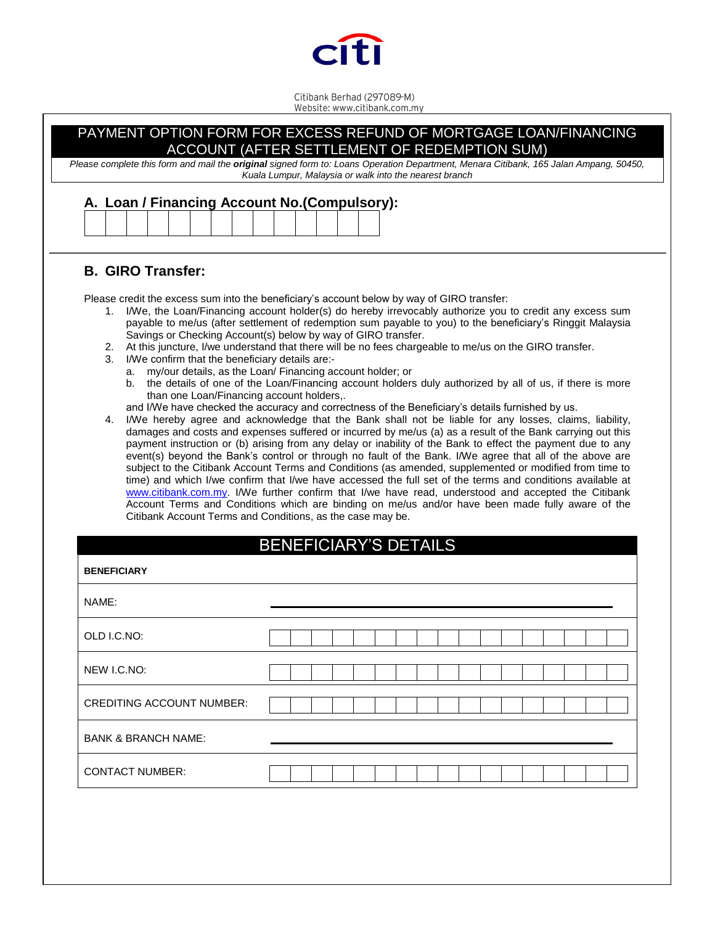

Citibank Berhad (297089-M)<br>Website: www.citibank.com.my

| Please complete this form and mail the original signed form to: Loans Operation Department, Menara Citibank, 165 Jalan Ampang, 50450,<br>Kuala Lumpur, Malaysia or walk into the nearest branch<br>A. Loan / Financing Account No.(Compulsory):                                                                                                                                                                                                                                                                                                                                                                                                                                                                                                                                                                                                                                                                                                                                                                                                                                                                                                                                                                                                                                                                                                                                                                                                                                                                                                                                                                                                                                                                                                                                                                                                            |                              |  |  |  |  |
|------------------------------------------------------------------------------------------------------------------------------------------------------------------------------------------------------------------------------------------------------------------------------------------------------------------------------------------------------------------------------------------------------------------------------------------------------------------------------------------------------------------------------------------------------------------------------------------------------------------------------------------------------------------------------------------------------------------------------------------------------------------------------------------------------------------------------------------------------------------------------------------------------------------------------------------------------------------------------------------------------------------------------------------------------------------------------------------------------------------------------------------------------------------------------------------------------------------------------------------------------------------------------------------------------------------------------------------------------------------------------------------------------------------------------------------------------------------------------------------------------------------------------------------------------------------------------------------------------------------------------------------------------------------------------------------------------------------------------------------------------------------------------------------------------------------------------------------------------------|------------------------------|--|--|--|--|
|                                                                                                                                                                                                                                                                                                                                                                                                                                                                                                                                                                                                                                                                                                                                                                                                                                                                                                                                                                                                                                                                                                                                                                                                                                                                                                                                                                                                                                                                                                                                                                                                                                                                                                                                                                                                                                                            |                              |  |  |  |  |
| Please credit the excess sum into the beneficiary's account below by way of GIRO transfer:<br>I/We, the Loan/Financing account holder(s) do hereby irrevocably authorize you to credit any excess sum<br>1.<br>payable to me/us (after settlement of redemption sum payable to you) to the beneficiary's Ringgit Malaysia<br>Savings or Checking Account(s) below by way of GIRO transfer.<br>2. At this juncture, I/we understand that there will be no fees chargeable to me/us on the GIRO transfer.<br>I/We confirm that the beneficiary details are:-<br>3.<br>a. my/our details, as the Loan/ Financing account holder; or<br>b. the details of one of the Loan/Financing account holders duly authorized by all of us, if there is more<br>than one Loan/Financing account holders,.<br>and I/We have checked the accuracy and correctness of the Beneficiary's details furnished by us.<br>I/We hereby agree and acknowledge that the Bank shall not be liable for any losses, claims, liability,<br>4.<br>damages and costs and expenses suffered or incurred by me/us (a) as a result of the Bank carrying out this<br>payment instruction or (b) arising from any delay or inability of the Bank to effect the payment due to any<br>event(s) beyond the Bank's control or through no fault of the Bank. I/We agree that all of the above are<br>subject to the Citibank Account Terms and Conditions (as amended, supplemented or modified from time to<br>time) and which I/we confirm that I/we have accessed the full set of the terms and conditions available at<br>www.citibank.com.my. I/We further confirm that I/we have read, understood and accepted the Citibank<br>Account Terms and Conditions which are binding on me/us and/or have been made fully aware of the<br>Citibank Account Terms and Conditions, as the case may be. |                              |  |  |  |  |
|                                                                                                                                                                                                                                                                                                                                                                                                                                                                                                                                                                                                                                                                                                                                                                                                                                                                                                                                                                                                                                                                                                                                                                                                                                                                                                                                                                                                                                                                                                                                                                                                                                                                                                                                                                                                                                                            |                              |  |  |  |  |
|                                                                                                                                                                                                                                                                                                                                                                                                                                                                                                                                                                                                                                                                                                                                                                                                                                                                                                                                                                                                                                                                                                                                                                                                                                                                                                                                                                                                                                                                                                                                                                                                                                                                                                                                                                                                                                                            | <b>BENEFICIARY'S DETAILS</b> |  |  |  |  |
| <b>BENEFICIARY</b>                                                                                                                                                                                                                                                                                                                                                                                                                                                                                                                                                                                                                                                                                                                                                                                                                                                                                                                                                                                                                                                                                                                                                                                                                                                                                                                                                                                                                                                                                                                                                                                                                                                                                                                                                                                                                                         |                              |  |  |  |  |
| NAME:                                                                                                                                                                                                                                                                                                                                                                                                                                                                                                                                                                                                                                                                                                                                                                                                                                                                                                                                                                                                                                                                                                                                                                                                                                                                                                                                                                                                                                                                                                                                                                                                                                                                                                                                                                                                                                                      |                              |  |  |  |  |
| OLD I.C.NO:                                                                                                                                                                                                                                                                                                                                                                                                                                                                                                                                                                                                                                                                                                                                                                                                                                                                                                                                                                                                                                                                                                                                                                                                                                                                                                                                                                                                                                                                                                                                                                                                                                                                                                                                                                                                                                                |                              |  |  |  |  |
| NEW I.C.NO:                                                                                                                                                                                                                                                                                                                                                                                                                                                                                                                                                                                                                                                                                                                                                                                                                                                                                                                                                                                                                                                                                                                                                                                                                                                                                                                                                                                                                                                                                                                                                                                                                                                                                                                                                                                                                                                |                              |  |  |  |  |
| <b>CREDITING ACCOUNT NUMBER:</b>                                                                                                                                                                                                                                                                                                                                                                                                                                                                                                                                                                                                                                                                                                                                                                                                                                                                                                                                                                                                                                                                                                                                                                                                                                                                                                                                                                                                                                                                                                                                                                                                                                                                                                                                                                                                                           |                              |  |  |  |  |
| <b>BANK &amp; BRANCH NAME:</b>                                                                                                                                                                                                                                                                                                                                                                                                                                                                                                                                                                                                                                                                                                                                                                                                                                                                                                                                                                                                                                                                                                                                                                                                                                                                                                                                                                                                                                                                                                                                                                                                                                                                                                                                                                                                                             |                              |  |  |  |  |